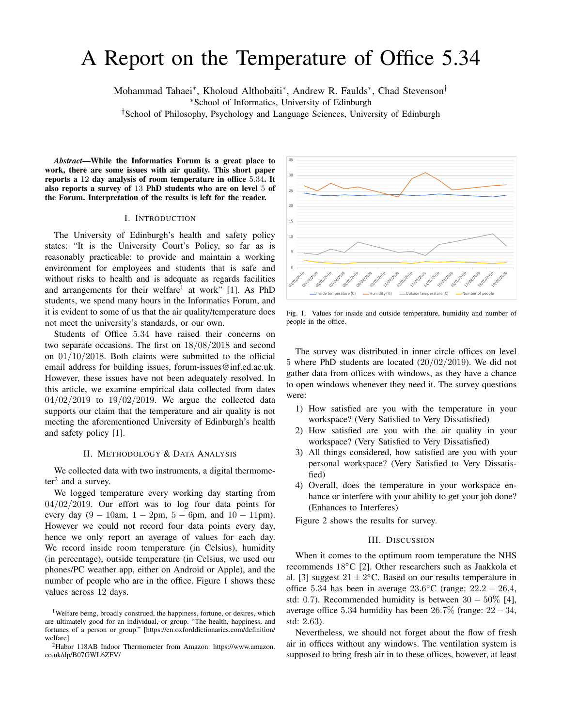# A Report on the Temperature of Office 5.34

Mohammad Tahaei<sup>∗</sup> , Kholoud Althobaiti<sup>∗</sup> , Andrew R. Faulds<sup>∗</sup> , Chad Stevenson†

<sup>∗</sup>School of Informatics, University of Edinburgh

†School of Philosophy, Psychology and Language Sciences, University of Edinburgh

*Abstract*—While the Informatics Forum is a great place to work, there are some issues with air quality. This short paper reports a 12 day analysis of room temperature in office 5.34. It also reports a survey of 13 PhD students who are on level 5 of the Forum. Interpretation of the results is left for the reader.

### I. INTRODUCTION

The University of Edinburgh's health and safety policy states: "It is the University Court's Policy, so far as is reasonably practicable: to provide and maintain a working environment for employees and students that is safe and without risks to health and is adequate as regards facilities and arrangements for their welfare<sup>1</sup> at work" [1]. As PhD students, we spend many hours in the Informatics Forum, and it is evident to some of us that the air quality/temperature does not meet the university's standards, or our own.

Students of Office 5.34 have raised their concerns on two separate occasions. The first on 18/08/2018 and second on 01/10/2018. Both claims were submitted to the official email address for building issues, forum-issues@inf.ed.ac.uk. However, these issues have not been adequately resolved. In this article, we examine empirical data collected from dates  $04/02/2019$  to  $19/02/2019$ . We argue the collected data supports our claim that the temperature and air quality is not meeting the aforementioned University of Edinburgh's health and safety policy [1].

# II. METHODOLOGY & DATA ANALYSIS

We collected data with two instruments, a digital thermome $ter<sup>2</sup>$  and a survey.

We logged temperature every working day starting from  $04/02/2019$ . Our effort was to log four data points for every day  $(9 - 10$ am,  $1 - 2$ pm,  $5 - 6$ pm, and  $10 - 11$ pm). However we could not record four data points every day, hence we only report an average of values for each day. We record inside room temperature (in Celsius), humidity (in percentage), outside temperature (in Celsius, we used our phones/PC weather app, either on Android or Apple), and the number of people who are in the office. Figure 1 shows these values across 12 days.



Fig. 1. Values for inside and outside temperature, humidity and number of people in the office.

The survey was distributed in inner circle offices on level 5 where PhD students are located  $(20/02/2019)$ . We did not gather data from offices with windows, as they have a chance to open windows whenever they need it. The survey questions were:

- 1) How satisfied are you with the temperature in your workspace? (Very Satisfied to Very Dissatisfied)
- 2) How satisfied are you with the air quality in your workspace? (Very Satisfied to Very Dissatisfied)
- 3) All things considered, how satisfied are you with your personal workspace? (Very Satisfied to Very Dissatisfied)
- 4) Overall, does the temperature in your workspace enhance or interfere with your ability to get your job done? (Enhances to Interferes)

Figure 2 shows the results for survey.

## III. DISCUSSION

When it comes to the optimum room temperature the NHS recommends 18◦C [2]. Other researchers such as Jaakkola et al. [3] suggest  $21 \pm 2$ °C. Based on our results temperature in office 5.34 has been in average  $23.6^{\circ}$ C (range:  $22.2 - 26.4$ , std: 0.7). Recommended humidity is between  $30 - 50\%$  [4], average office 5.34 humidity has been 26.7% (range: 22−34, std: 2.63).

Nevertheless, we should not forget about the flow of fresh air in offices without any windows. The ventilation system is supposed to bring fresh air in to these offices, however, at least

<sup>&</sup>lt;sup>1</sup>Welfare being, broadly construed, the happiness, fortune, or desires, which are ultimately good for an individual, or group. "The health, happiness, and fortunes of a person or group." [https://en.oxforddictionaries.com/definition/ welfare]

<sup>2</sup>Habor 118AB Indoor Thermometer from Amazon: https://www.amazon. co.uk/dp/B07GWL6ZFV/